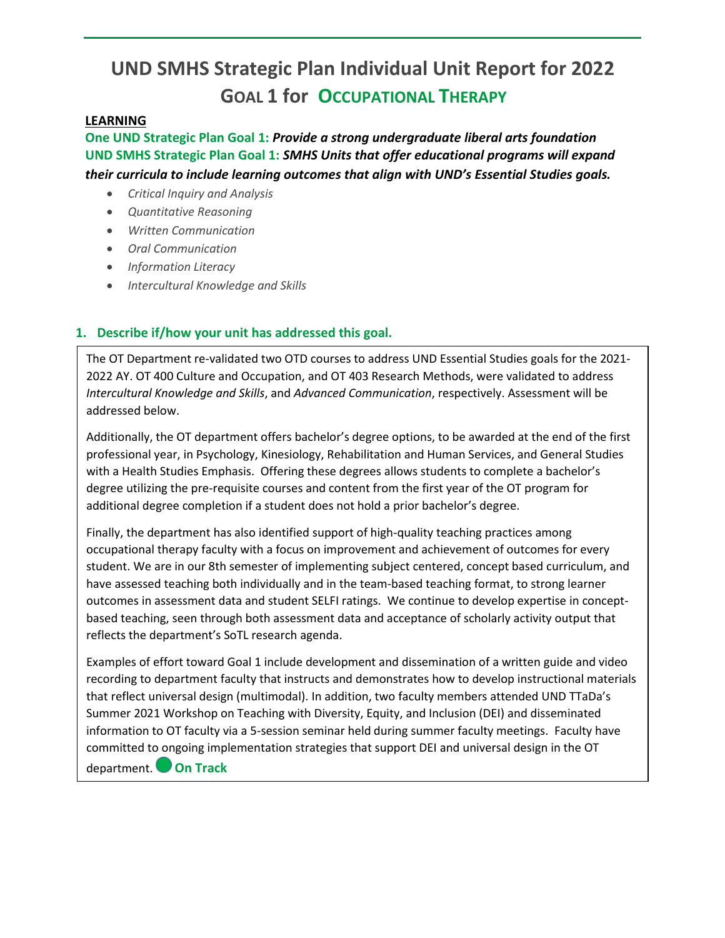# **UND SMHS Strategic Plan Individual Unit Report for 2022 GOAL 1 for OCCUPATIONAL THERAPY**

### **LEARNING**

**One UND Strategic Plan Goal 1:** *Provide a strong undergraduate liberal arts foundation* **UND SMHS Strategic Plan Goal 1:** *SMHS Units that offer educational programs will expand their curricula to include learning outcomes that align with UND's Essential Studies goals.* 

- *Critical Inquiry and Analysis*
- *Quantitative Reasoning*
- *Written Communication*
- *Oral Communication*
- *Information Literacy*
- *Intercultural Knowledge and Skills*

## **1. Describe if/how your unit has addressed this goal.**

The OT Department re-validated two OTD courses to address UND Essential Studies goals for the 2021- 2022 AY. OT 400 Culture and Occupation, and OT 403 Research Methods, were validated to address *Intercultural Knowledge and Skills*, and *Advanced Communication*, respectively. Assessment will be addressed below.

Additionally, the OT department offers bachelor's degree options, to be awarded at the end of the first professional year, in Psychology, Kinesiology, Rehabilitation and Human Services, and General Studies with a Health Studies Emphasis. Offering these degrees allows students to complete a bachelor's degree utilizing the pre-requisite courses and content from the first year of the OT program for additional degree completion if a student does not hold a prior bachelor's degree.

Finally, the department has also identified support of high-quality teaching practices among occupational therapy faculty with a focus on improvement and achievement of outcomes for every student. We are in our 8th semester of implementing subject centered, concept based curriculum, and have assessed teaching both individually and in the team-based teaching format, to strong learner outcomes in assessment data and student SELFI ratings. We continue to develop expertise in conceptbased teaching, seen through both assessment data and acceptance of scholarly activity output that reflects the department's SoTL research agenda.

Examples of effort toward Goal 1 include development and dissemination of a written guide and video recording to department faculty that instructs and demonstrates how to develop instructional materials that reflect universal design (multimodal). In addition, two faculty members attended UND TTaDa's Summer 2021 Workshop on Teaching with Diversity, Equity, and Inclusion (DEI) and disseminated information to OT faculty via a 5-session seminar held during summer faculty meetings. Faculty have committed to ongoing implementation strategies that support DEI and universal design in the OT department. **On Track**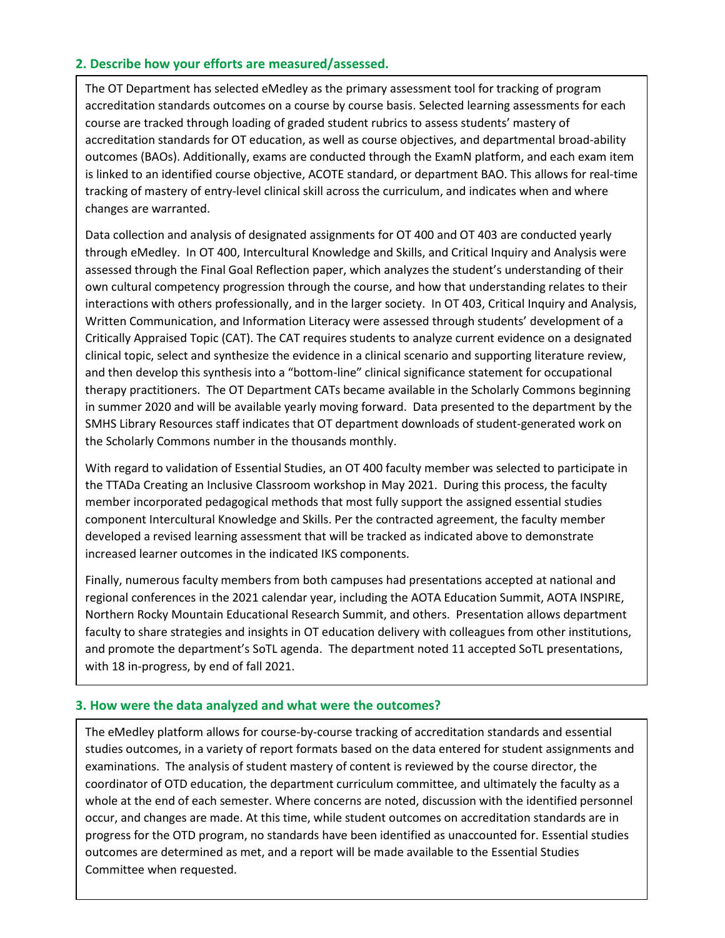### **2. Describe how your efforts are measured/assessed.**

The OT Department has selected eMedley as the primary assessment tool for tracking of program accreditation standards outcomes on a course by course basis. Selected learning assessments for each course are tracked through loading of graded student rubrics to assess students' mastery of accreditation standards for OT education, as well as course objectives, and departmental broad-ability outcomes (BAOs). Additionally, exams are conducted through the ExamN platform, and each exam item is linked to an identified course objective, ACOTE standard, or department BAO. This allows for real-time tracking of mastery of entry-level clinical skill across the curriculum, and indicates when and where changes are warranted.

Data collection and analysis of designated assignments for OT 400 and OT 403 are conducted yearly through eMedley. In OT 400, Intercultural Knowledge and Skills, and Critical Inquiry and Analysis were assessed through the Final Goal Reflection paper, which analyzes the student's understanding of their own cultural competency progression through the course, and how that understanding relates to their interactions with others professionally, and in the larger society. In OT 403, Critical Inquiry and Analysis, Written Communication, and Information Literacy were assessed through students' development of a Critically Appraised Topic (CAT). The CAT requires students to analyze current evidence on a designated clinical topic, select and synthesize the evidence in a clinical scenario and supporting literature review, and then develop this synthesis into a "bottom-line" clinical significance statement for occupational therapy practitioners. The OT Department CATs became available in the Scholarly Commons beginning in summer 2020 and will be available yearly moving forward. Data presented to the department by the SMHS Library Resources staff indicates that OT department downloads of student-generated work on the Scholarly Commons number in the thousands monthly.

With regard to validation of Essential Studies, an OT 400 faculty member was selected to participate in the TTADa Creating an Inclusive Classroom workshop in May 2021. During this process, the faculty member incorporated pedagogical methods that most fully support the assigned essential studies component Intercultural Knowledge and Skills. Per the contracted agreement, the faculty member developed a revised learning assessment that will be tracked as indicated above to demonstrate increased learner outcomes in the indicated IKS components.

Finally, numerous faculty members from both campuses had presentations accepted at national and regional conferences in the 2021 calendar year, including the AOTA Education Summit, AOTA INSPIRE, Northern Rocky Mountain Educational Research Summit, and others. Presentation allows department faculty to share strategies and insights in OT education delivery with colleagues from other institutions, and promote the department's SoTL agenda. The department noted 11 accepted SoTL presentations, with 18 in-progress, by end of fall 2021.

#### **3. How were the data analyzed and what were the outcomes?**

The eMedley platform allows for course-by-course tracking of accreditation standards and essential studies outcomes, in a variety of report formats based on the data entered for student assignments and examinations. The analysis of student mastery of content is reviewed by the course director, the coordinator of OTD education, the department curriculum committee, and ultimately the faculty as a whole at the end of each semester. Where concerns are noted, discussion with the identified personnel occur, and changes are made. At this time, while student outcomes on accreditation standards are in progress for the OTD program, no standards have been identified as unaccounted for. Essential studies outcomes are determined as met, and a report will be made available to the Essential Studies Committee when requested.